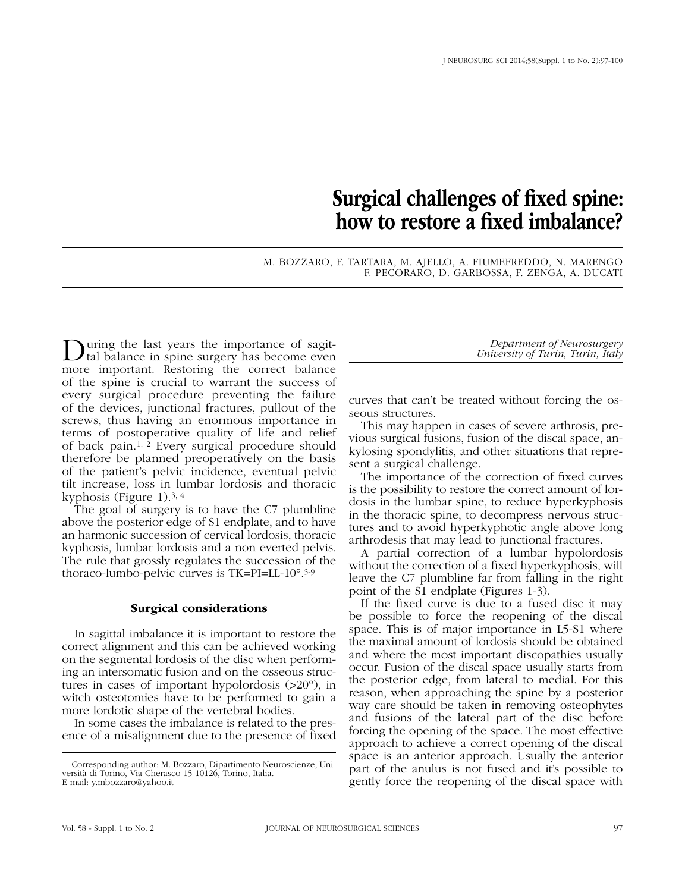## Surgical challenges of fixed spine: how to restore a fixed imbalance?

M. BOZZARO, F. TARTARA, M. AJELLO, A. FIUMEFREDDO, N. MARENGO F. PECORARO, D. GARBOSSA, F. ZENGA, A. DUCATI

During the last years the importance of sagit-tal balance in spine surgery has become even more important. Restoring the correct balance of the spine is crucial to warrant the success of every surgical procedure preventing the failure of the devices, junctional fractures, pullout of the screws, thus having an enormous importance in terms of postoperative quality of life and relief of back pain.1, 2 Every surgical procedure should therefore be planned preoperatively on the basis of the patient's pelvic incidence, eventual pelvic tilt increase, loss in lumbar lordosis and thoracic kyphosis (Figure 1).3, 4

The goal of surgery is to have the C7 plumbline above the posterior edge of S1 endplate, and to have an harmonic succession of cervical lordosis, thoracic kyphosis, lumbar lordosis and a non everted pelvis. The rule that grossly regulates the succession of the thoraco-lumbo-pelvic curves is TK=PI=LL-10°.5-9

## Surgical considerations

In sagittal imbalance it is important to restore the correct alignment and this can be achieved working on the segmental lordosis of the disc when performing an intersomatic fusion and on the osseous structures in cases of important hypolordosis (>20°), in witch osteotomies have to be performed to gain a more lordotic shape of the vertebral bodies.

In some cases the imbalance is related to the presence of a misalignment due to the presence of fixed

*Department of Neurosurgery University of Turin, Turin, Italy*

curves that can't be treated without forcing the osseous structures.

This may happen in cases of severe arthrosis, previous surgical fusions, fusion of the discal space, ankylosing spondylitis, and other situations that represent a surgical challenge.

The importance of the correction of fixed curves is the possibility to restore the correct amount of lordosis in the lumbar spine, to reduce hyperkyphosis in the thoracic spine, to decompress nervous structures and to avoid hyperkyphotic angle above long arthrodesis that may lead to junctional fractures.

A partial correction of a lumbar hypolordosis without the correction of a fixed hyperkyphosis, will leave the C7 plumbline far from falling in the right point of the S1 endplate (Figures 1-3).

If the fixed curve is due to a fused disc it may be possible to force the reopening of the discal space. This is of major importance in L5-S1 where the maximal amount of lordosis should be obtained and where the most important discopathies usually occur. Fusion of the discal space usually starts from the posterior edge, from lateral to medial. For this reason, when approaching the spine by a posterior way care should be taken in removing osteophytes and fusions of the lateral part of the disc before forcing the opening of the space. The most effective approach to achieve a correct opening of the discal space is an anterior approach. Usually the anterior part of the anulus is not fused and it's possible to gently force the reopening of the discal space with

Corresponding author: M. Bozzaro, Dipartimento Neuroscienze, Università di Torino, Via Cherasco 15 10126, Torino, Italia. E-mail: y.mbozzaro@yahoo.it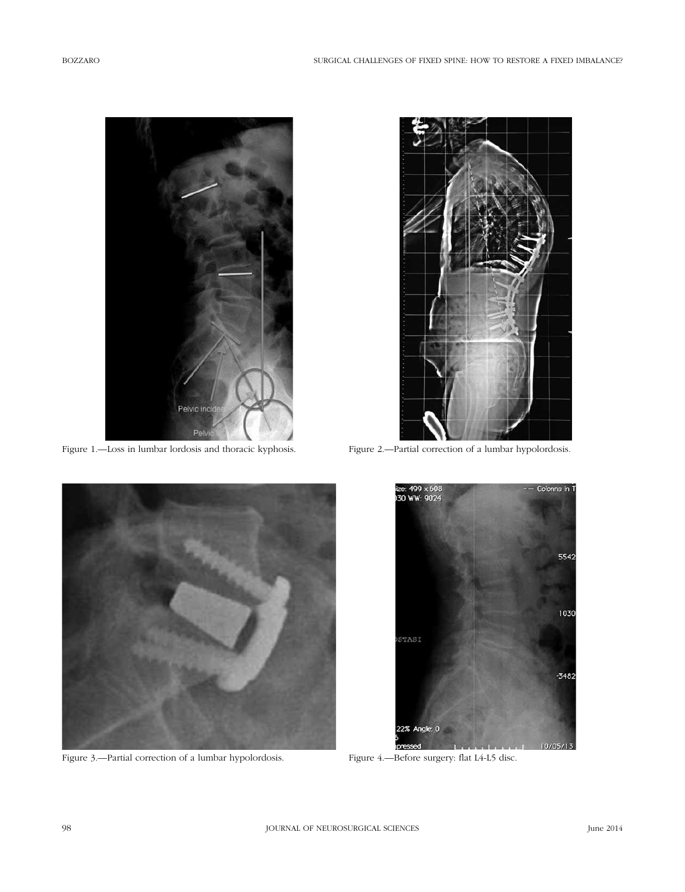

Figure 1.—Loss in lumbar lordosis and thoracic kyphosis.



Figure 2.—Partial correction of a lumbar hypolordosis.



Figure 3.—Partial correction of a lumbar hypolordosis.



Figure 4.—Before surgery: flat L4-L5 disc.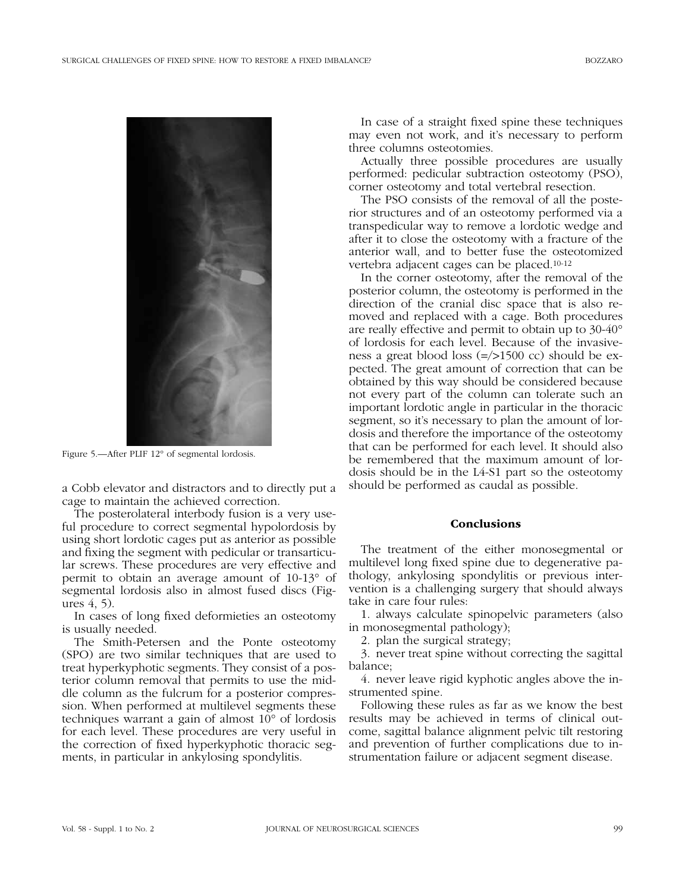

Figure 5.—After PLIF 12° of segmental lordosis.

a Cobb elevator and distractors and to directly put a cage to maintain the achieved correction.

The posterolateral interbody fusion is a very useful procedure to correct segmental hypolordosis by using short lordotic cages put as anterior as possible and fixing the segment with pedicular or transarticular screws. These procedures are very effective and permit to obtain an average amount of 10-13° of segmental lordosis also in almost fused discs (Figures 4, 5).

In cases of long fixed deformieties an osteotomy is usually needed.

The Smith-Petersen and the Ponte osteotomy (SPO) are two similar techniques that are used to treat hyperkyphotic segments. They consist of a posterior column removal that permits to use the middle column as the fulcrum for a posterior compression. When performed at multilevel segments these techniques warrant a gain of almost 10° of lordosis for each level. These procedures are very useful in the correction of fixed hyperkyphotic thoracic segments, in particular in ankylosing spondylitis.

In case of a straight fixed spine these techniques may even not work, and it's necessary to perform three columns osteotomies.

Actually three possible procedures are usually performed: pedicular subtraction osteotomy (PSO), corner osteotomy and total vertebral resection.

The PSO consists of the removal of all the posterior structures and of an osteotomy performed via a transpedicular way to remove a lordotic wedge and after it to close the osteotomy with a fracture of the anterior wall, and to better fuse the osteotomized vertebra adjacent cages can be placed.10-12

In the corner osteotomy, after the removal of the posterior column, the osteotomy is performed in the direction of the cranial disc space that is also removed and replaced with a cage. Both procedures are really effective and permit to obtain up to 30-40° of lordosis for each level. Because of the invasiveness a great blood loss (=/>1500 cc) should be expected. The great amount of correction that can be obtained by this way should be considered because not every part of the column can tolerate such an important lordotic angle in particular in the thoracic segment, so it's necessary to plan the amount of lordosis and therefore the importance of the osteotomy that can be performed for each level. It should also be remembered that the maximum amount of lordosis should be in the L4-S1 part so the osteotomy should be performed as caudal as possible.

## **Conclusions**

The treatment of the either monosegmental or multilevel long fixed spine due to degenerative pathology, ankylosing spondylitis or previous intervention is a challenging surgery that should always take in care four rules:

1. always calculate spinopelvic parameters (also in monosegmental pathology);

2. plan the surgical strategy;

3. never treat spine without correcting the sagittal balance;

4. never leave rigid kyphotic angles above the instrumented spine.

Following these rules as far as we know the best results may be achieved in terms of clinical outcome, sagittal balance alignment pelvic tilt restoring and prevention of further complications due to instrumentation failure or adjacent segment disease.